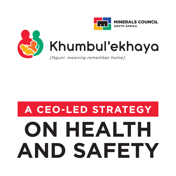



## Khumbul'ekhaya

*[Nguni: meaning remember home]*

# **ON HEALTH AND SAFETY A CEO-LED STRATEGY**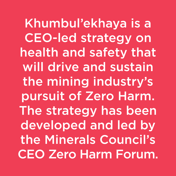Khumbul'ekhaya is a CEO-led strategy on health and safety that will drive and sustain the mining industry's pursuit of Zero Harm. The strategy has been developed and led by the Minerals Council's CEO Zero Harm Forum.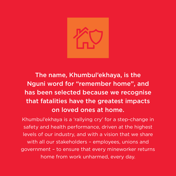

The name, Khumbul'ekhaya, is the Nguni word for "remember home", and has been selected because we recognise that fatalities have the greatest impacts on loved ones at home.

Khumbul'ekhaya is a 'rallying cry' for a step-change in safety and health performance, driven at the highest levels of our industry, and with a vision that we share with all our stakeholders – employees, unions and government – to ensure that every mineworker returns home from work unharmed, every day.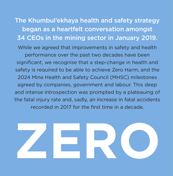The Khumbul'ekhaya health and safety strategy began as a heartfelt conversation amongst 34 CEOs in the mining sector in January 2019. While we agreed that improvements in safety and health performance over the past two decades have been significant, we recognise that a step-change in health and safety is required to be able to achieve Zero Harm, and the 2024 Mine Health and Safety Council (MHSC) milestones agreed by companies, government and labour. This deep and intense introspection was prompted by a plateauing of the fatal injury rate and, sadly, an increase in fatal accidents recorded in 2017 for the first time in a decade.

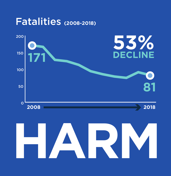

# **HARM**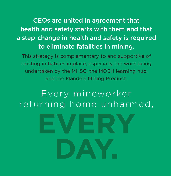CEOs are united in agreement that health and safety starts with them and that a step-change in health and safety is required to eliminate fatalities in mining.

This strategy is complementary to and supportive of existing initiatives in place, especially the work being undertaken by the MHSC, the MOSH learning hub, and the Mandela Mining Precinct.

#### Every mineworker returning home unharmed,

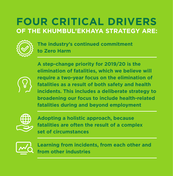#### **FOUR CRITICAL DRIVERS OF THE KHUMBUL'EKHAYA STRATEGY ARE:**



**The industry's continued commitment to Zero Harm** 

**A step-change priority for 2019/20 is the elimination of fatalities, which we believe will require a two-year focus on the elimination of fatalities as a result of both safety and health incidents. This includes a deliberate strategy to broadening our focus to include health-related fatalities during and beyond employment**



**Adopting a holistic approach, because fatalities are often the result of a complex set of circumstances**



**Learning from incidents, from each other and from other industries**